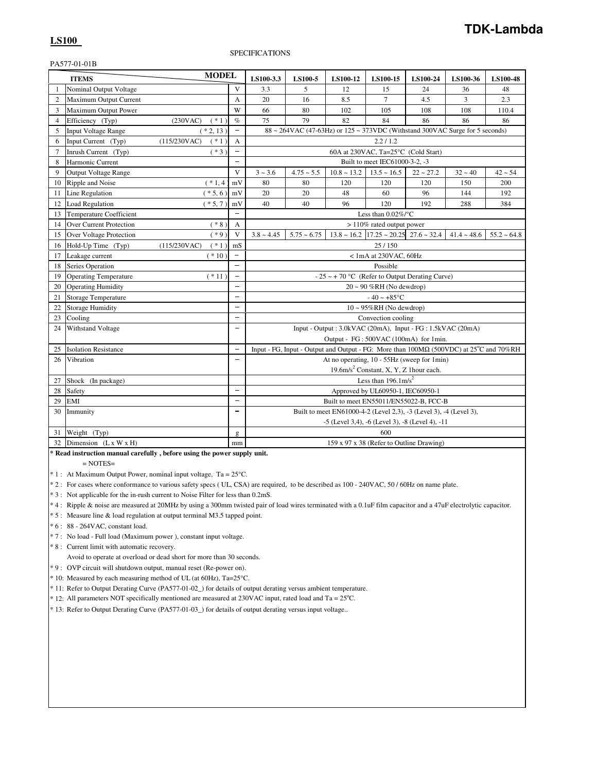### **LS100**

#### SPECIFICATIONS

PA577-01-01B

| <b>MODEL</b><br><b>ITEMS</b> |                                |                           | LS100-3.3                | <b>LS100-5</b> | <b>LS100-12</b>                                                                                            | <b>LS100-15</b>  | LS100-24                                             | LS100-36                                                           | <b>LS100-48</b> |               |
|------------------------------|--------------------------------|---------------------------|--------------------------|----------------|------------------------------------------------------------------------------------------------------------|------------------|------------------------------------------------------|--------------------------------------------------------------------|-----------------|---------------|
| $\mathbf{1}$                 | Nominal Output Voltage         |                           | V                        | 3.3            | 5                                                                                                          | 12               | 15                                                   | 24                                                                 | 36              | 48            |
| $\overline{2}$               | Maximum Output Current         |                           | A                        | 20             | 16                                                                                                         | 8.5              | $\tau$                                               | 4.5                                                                | 3               | 2.3           |
| 3                            | Maximum Output Power           |                           | W                        | 66             | 80                                                                                                         | 102              | 105                                                  | 108                                                                | 108             | 110.4         |
| $\overline{4}$               | Efficiency (Typ)               | (230VAC)<br>$(* 1)$       | $\%$                     | 75             | 79                                                                                                         | 82               | 84                                                   | 86                                                                 | 86              | 86            |
| 5                            | <b>Input Voltage Range</b>     | $(* 2, 13)$               | $\qquad \qquad -$        |                | $88 \sim 264 \text{VAC}$ (47-63Hz) or $125 \sim 373 \text{VDC}$ (Withstand 300VAC Surge for 5 seconds)     |                  |                                                      |                                                                    |                 |               |
| 6                            | Input Current (Typ)            | $( * 1 )$<br>(115/230VAC) | $\overline{A}$           |                |                                                                                                            |                  | 2.2/1.2                                              |                                                                    |                 |               |
| $\overline{7}$               | Inrush Current (Typ)           | $(*3)$                    | $\overline{\phantom{0}}$ |                |                                                                                                            |                  | 60A at 230VAC, Ta=25°C (Cold Start)                  |                                                                    |                 |               |
| 8                            | Harmonic Current               |                           | $\overline{\phantom{0}}$ |                |                                                                                                            |                  | Built to meet IEC61000-3-2, -3                       |                                                                    |                 |               |
| 9                            | <b>Output Voltage Range</b>    |                           | V                        | $3 - 3.6$      | $4.75 - 5.5$                                                                                               | $10.8 \sim 13.2$ | $13.5 \sim 16.5$                                     | $22 - 27.2$                                                        | $32 - 40$       | $42 - 54$     |
| 10                           | Ripple and Noise               | $(* 1, 4)$                | mV                       | 80             | 80                                                                                                         | 120              | 120                                                  | 120                                                                | 150             | 200           |
| 11                           | Line Regulation                | $(* 5, 6)$                | mV                       | 20             | 20                                                                                                         | 48               | 60                                                   | 96                                                                 | 144             | 192           |
| 12                           | Load Regulation                | $(* 5, 7)$                | mV                       | 40             | 40                                                                                                         | 96               | 120                                                  | 192                                                                | 288             | 384           |
| 13                           | <b>Temperature Coefficient</b> |                           | $\overline{a}$           |                |                                                                                                            |                  | Less than $0.02\%$ /°C                               |                                                                    |                 |               |
| 14                           | Over Current Protection        | $(* 8)$                   | $\overline{A}$           |                |                                                                                                            |                  | > 110% rated output power                            |                                                                    |                 |               |
| 15                           | Over Voltage Protection        | $(*9)$                    | V                        | $3.8 - 4.45$   | $5.75 - 6.75$                                                                                              |                  | $13.8 \sim 16.2$ $17.25 \sim 20.25$ $27.6 \sim 32.4$ |                                                                    | $41.4 - 48.6$   | $55.2 - 64.8$ |
| 16                           | Hold-Up Time (Typ)             | $(* 1)$<br>(115/230VAC)   | mS                       |                |                                                                                                            |                  | 25/150                                               |                                                                    |                 |               |
| 17                           | Leakage current                | $(* 10)$                  |                          |                |                                                                                                            |                  | <1mA at 230VAC, 60Hz                                 |                                                                    |                 |               |
| 18                           | Series Operation               |                           | $\overline{\phantom{0}}$ |                |                                                                                                            |                  | Possible                                             |                                                                    |                 |               |
| 19                           | <b>Operating Temperature</b>   | $(* 11)$                  |                          |                |                                                                                                            |                  |                                                      | - 25 ~ + 70 °C (Refer to Output Derating Curve)                    |                 |               |
| 20                           | <b>Operating Humidity</b>      |                           |                          |                |                                                                                                            |                  | $20 \sim 90$ %RH (No dewdrop)                        |                                                                    |                 |               |
| 21                           | <b>Storage Temperature</b>     |                           | $\overline{\phantom{0}}$ |                |                                                                                                            |                  | $-40 - +85$ °C                                       |                                                                    |                 |               |
| 22                           | <b>Storage Humidity</b>        |                           | $\qquad \qquad -$        |                |                                                                                                            |                  | $10 \sim 95\% RH$ (No dewdrop)                       |                                                                    |                 |               |
| 23                           | Cooling                        |                           | ÷                        |                |                                                                                                            |                  | Convection cooling                                   |                                                                    |                 |               |
| 24                           | Withstand Voltage              |                           | $\overline{\phantom{0}}$ |                |                                                                                                            |                  |                                                      | Input - Output : 3.0kVAC (20mA), Input - FG : 1.5kVAC (20mA)       |                 |               |
|                              |                                |                           |                          |                |                                                                                                            |                  |                                                      | Output - FG: 500VAC (100mA) for 1min.                              |                 |               |
| 25                           | <b>Isolation Resistance</b>    |                           | $\qquad \qquad -$        |                | Input - FG, Input - Output and Output - FG: More than $100M\Omega$ (500VDC) at $25^{\circ}$ C and $70\%RH$ |                  |                                                      |                                                                    |                 |               |
| 26                           | Vibration                      |                           | $\overline{\phantom{0}}$ |                |                                                                                                            |                  |                                                      | At no operating, 10 - 55Hz (sweep for 1min)                        |                 |               |
|                              |                                |                           |                          |                |                                                                                                            |                  | 19.6m/s <sup>2</sup> Constant, X, Y, Z 1hour each.   |                                                                    |                 |               |
| 27                           | Shock (In package)             |                           |                          |                |                                                                                                            |                  | Less than $196.1 \text{m/s}^2$                       |                                                                    |                 |               |
| 28                           | Safety                         |                           | $\qquad \qquad -$        |                |                                                                                                            |                  | Approved by UL60950-1, IEC60950-1                    |                                                                    |                 |               |
| 29                           | EMI                            |                           | $\equiv$                 |                |                                                                                                            |                  |                                                      | Built to meet EN55011/EN55022-B, FCC-B                             |                 |               |
| 30                           | Immunity                       |                           | $\overline{\phantom{0}}$ |                |                                                                                                            |                  |                                                      | Built to meet EN61000-4-2 (Level 2,3), -3 (Level 3), -4 (Level 3), |                 |               |
|                              |                                |                           |                          |                |                                                                                                            |                  |                                                      | -5 (Level 3,4), -6 (Level 3), -8 (Level 4), -11                    |                 |               |
| 31                           | Weight (Typ)                   |                           | g                        |                |                                                                                                            |                  | 600                                                  |                                                                    |                 |               |
| 32                           | Dimension (L x W x H)          |                           | mm                       |                |                                                                                                            |                  | 159 x 97 x 38 (Refer to Outline Drawing)             |                                                                    |                 |               |

**\* Read instruction manual carefully , before using the power supply unit.**

 $=$  NOTES $=$ 

\* 1 : At Maximum Output Power, nominal input voltage, Ta = 25°C.

\* 2 : For cases where conformance to various safety specs ( UL, CSA) are required, to be described as 100 - 240VAC, 50 / 60Hz on name plate.

\* 3 : Not applicable for the in-rush current to Noise Filter for less than 0.2mS.

\* 4 : Ripple & noise are measured at 20MHz by using a 300mm twisted pair of load wires terminated with a 0.1uF film capacitor and a 47uF electrolytic capacitor.

\* 5 : Measure line & load regulation at output terminal M3.5 tapped point.

\* 6 : 88 - 264VAC, constant load.

\* 7 : No load - Full load (Maximum power ), constant input voltage.

\* 8 : Current limit with automatic recovery.

Avoid to operate at overload or dead short for more than 30 seconds.

\* 9 : OVP circuit will shutdown output, manual reset (Re-power on).

\* 10: Measured by each measuring method of UL (at 60Hz), Ta=25°C.

\* 11: Refer to Output Derating Curve (PA577-01-02\_) for details of output derating versus ambient temperature.

 $*$  12: All parameters NOT specifically mentioned are measured at 230VAC input, rated load and Ta =  $25^{\circ}$ C.

\* 13: Refer to Output Derating Curve (PA577-01-03\_) for details of output derating versus input voltage..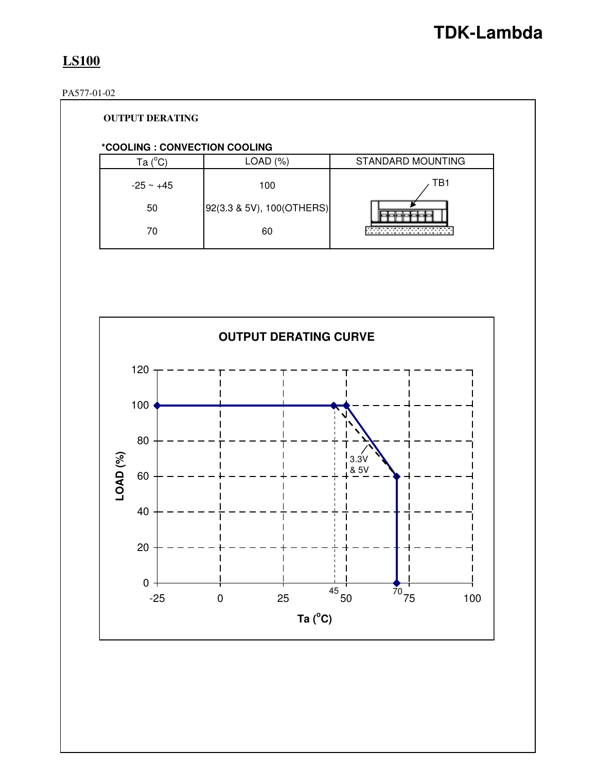## **LS100**

### PA577-01-02

## **\*COOLING : CONVECTION COOLING OUTPUT DERATING**  50 70 60  $Ta(^oC)$   $\qquad \qquad$  LOAD  $(\%)$  $-25 \sim +45$  100 92(3.3 & 5V), 100(OTHERS) STANDARD MOUNTING TB1